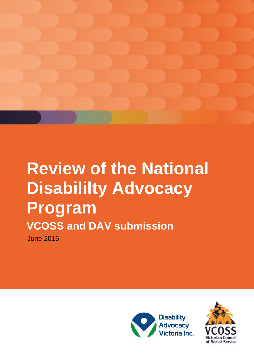

# **Review of the National Disabililty Advocacy Program VCOSS and DAV submission** June 2016



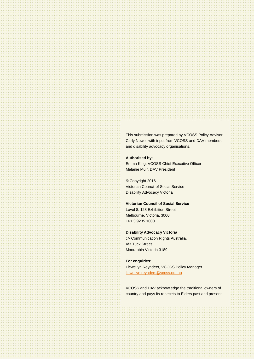This submission was prepared by VCOSS Policy Advisor Carly Nowell with input from VCOSS and DAV members and disability advocacy organisations.

#### **Authorised by:**

Emma King, VCOSS Chief Executive Officer Melanie Muir, DAV President

© Copyright 2016 Victorian Council of Social Service Disability Advocacy Victoria

#### **Victorian Council of Social Service**

Level 8, 128 Exhibition Street Melbourne, Victoria, 3000 +61 3 9235 1000

#### **Disability Advocacy Victoria**

c/- Communication Rights Australia, 4/3 Tuck Street Moorabbin Victoria 3189

#### **For enquiries:**

national Disability Advocacy Program review 2019 19:00 19:00 19:00 19:00 19:00 19:00 19:00 19:00 19:00 19:00 1

Llewellyn Reynders, VCOSS Policy Manager [llewellyn.reynders@vcoss.org.au](mailto:llewellyn.reynders@vcoss.org.au)

VCOSS and DAV acknowledge the traditional owners of country and pays its repecets to Elders past and present.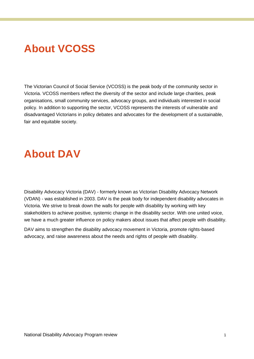# <span id="page-2-0"></span>**About VCOSS**

The Victorian Council of Social Service (VCOSS) is the peak body of the community sector in Victoria. VCOSS members reflect the diversity of the sector and include large charities, peak organisations, small community services, advocacy groups, and individuals interested in social policy. In addition to supporting the sector, VCOSS represents the interests of vulnerable and disadvantaged Victorians in policy debates and advocates for the development of a sustainable, fair and equitable society.

# <span id="page-2-1"></span>**About DAV**

Disability Advocacy Victoria (DAV) - formerly known as Victorian Disability Advocacy Network (VDAN) - was established in 2003. DAV is the peak body for independent disability advocates in Victoria. We strive to break down the walls for people with disability by working with key stakeholders to achieve positive, systemic change in the disability sector. With one united voice, we have a much greater influence on policy makers about issues that affect people with disability.

DAV aims to strengthen the disability advocacy movement in Victoria, promote rights-based advocacy, and raise awareness about the needs and rights of people with disability.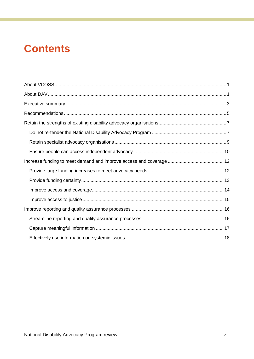# **Contents**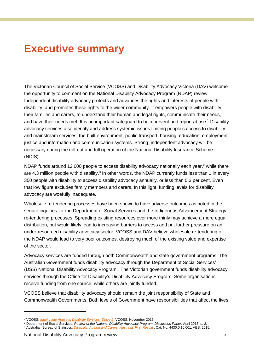## <span id="page-4-0"></span>**Executive summary**

The Victorian Council of Social Service (VCOSS) and Disability Advocacy Victoria (DAV) welcome the opportunity to comment on the National Disability Advocacy Program (NDAP) review. Independent disability advocacy protects and advances the rights and interests of people with disability, and promotes these rights to the wider community. It empowers people with disability, their families and carers, to understand their human and legal rights, communicate their needs, and have their needs met. It is an important safeguard to help prevent and report abuse.<sup>1</sup> Disability advocacy services also identify and address systemic issues limiting people's access to disability and mainstream services, the built environment, public transport, housing, education, employment, justice and information and communication systems. Strong, independent advocacy will be necessary during the roll-out and full operation of the National Disability Insurance Scheme (NDIS).

NDAP funds around 12,000 people to access disability advocacy nationally each year,<sup>2</sup> while there are 4.3 million people with disability.<sup>3</sup> In other words, the NDAP currently funds less than 1 in every 350 people with disability to access disability advocacy annually, or less than 0.3 per cent. Even that low figure excludes family members and carers. In this light, funding levels for disability advocacy are woefully inadequate.

Wholesale re-tendering processes have been shown to have adverse outcomes as noted in the senate inquiries for the Department of Social Services and the Indigenous Advancement Strategy re-tendering processes. Spreading existing resources ever more thinly may achieve a more equal distribution, but would likely lead to increasing barriers to access and put further pressure on an under-resourced disability advocacy sector. VCOSS and DAV believe wholesale re-tendering of the NDAP would lead to very poor outcomes, destroying much of the existing value and expertise of the sector.

Advocacy services are funded through both Commonwealth and state government programs. The Australian Government funds disability advocacy through the Department of Social Services' (DSS) National Disability Advocacy Program. The Victorian government funds disability advocacy services through the Office for Disability's Disability Advocacy Program. Some organisations receive funding from one source, while others are jointly funded.

VCOSS believe that disability advocacy should remain the joint responsibility of State and Commonwealth Governments. Both levels of Government have responsibilities that affect the lives

<sup>1</sup> VCOSS, *[Inquiry into Abuse in Disability Services: Stage 2](http://vcoss.org.au/documents/2015/11/SUB_151030_VCOSS-Submission-to-Abuse-in-Disability-Services-Inquiry_final.pdf)*, VCOSS, November 2015.

<sup>2</sup> Department of Social Services, *Review of the National Disability Advocacy Program: Discussion Paper*, April 2016, p. 2.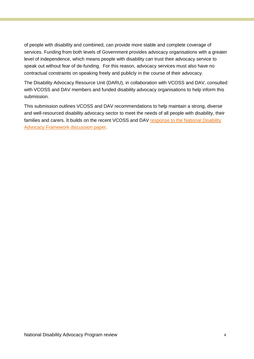of people with disability and combined, can provide more stable and complete coverage of services. Funding from both levels of Government provides advocacy organisations with a greater level of independence, which means people with disability can trust their advocacy service to speak out without fear of de-funding. For this reason, advocacy services must also have no contractual constraints on speaking freely and publicly in the course of their advocacy.

The Disability Advocacy Resource Unit (DARU), in collaboration with VCOSS and DAV, consulted with VCOSS and DAV members and funded disability advocacy organisations to help inform this submission.

This submission outlines VCOSS and DAV recommendations to help maintain a strong, diverse and well-resourced disability advocacy sector to meet the needs of all people with disability, their families and carers. It builds on the recent VCOSS and DAV [response to the National Disability](http://vcoss.org.au/document/national-disability-advocacy-framework-response-to-discussion-paper/)  [Advocacy Framework discussion paper.](http://vcoss.org.au/document/national-disability-advocacy-framework-response-to-discussion-paper/)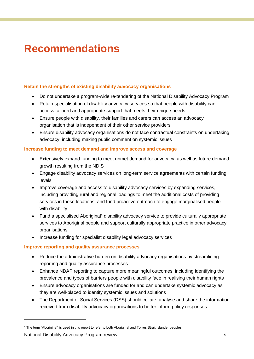## <span id="page-6-0"></span>**Recommendations**

### **Retain the strengths of existing disability advocacy organisations**

- Do not undertake a program-wide re-tendering of the National Disability Advocacy Program
- Retain specialisation of disability advocacy services so that people with disability can access tailored and appropriate support that meets their unique needs
- Ensure people with disability, their families and carers can access an advocacy organisation that is independent of their other service providers
- Ensure disability advocacy organisations do not face contractual constraints on undertaking advocacy, including making public comment on systemic issues

### **Increase funding to meet demand and improve access and coverage**

- Extensively expand funding to meet unmet demand for advocacy, as well as future demand growth resulting from the NDIS
- Engage disability advocacy services on long-term service agreements with certain funding levels
- Improve coverage and access to disability advocacy services by expanding services, including providing rural and regional loadings to meet the additional costs of providing services in these locations, and fund proactive outreach to engage marginalised people with disability
- Fund a specialised Aboriginal<sup>4</sup> disability advocacy service to provide culturally appropriate services to Aboriginal people and support culturally appropriate practice in other advocacy organisations
- Increase funding for specialist disability legal advocacy services

### **Improve reporting and quality assurance processes**

- Reduce the administrative burden on disability advocacy organisations by streamlining reporting and quality assurance processes
- Enhance NDAP reporting to capture more meaningful outcomes, including identifying the prevalence and types of barriers people with disability face in realising their human rights
- Ensure advocacy organisations are funded for and can undertake systemic advocacy as they are well-placed to identify systemic issues and solutions
- The Department of Social Services (DSS) should collate, analyse and share the information received from disability advocacy organisations to better inform policy responses

<sup>4</sup> The term "Aboriginal" is used in this report to refer to both Aboriginal and Torres Strait Islander peoples.

National Disability Advocacy Program review 5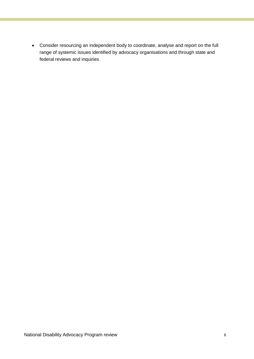Consider resourcing an independent body to coordinate, analyse and report on the full range of systemic issues identified by advocacy organisations and through state and federal reviews and inquiries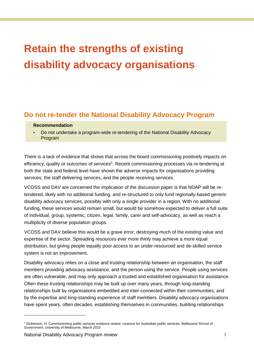# <span id="page-8-0"></span>**Retain the strengths of existing disability advocacy organisations**

## <span id="page-8-1"></span>**Do not re-tender the National Disability Advocacy Program**

### **Recommendation**

• Do not undertake a program-wide re-tendering of the National Disability Advocacy Program

There is a lack of evidence that shows that across the board commissioning positively impacts on efficiency, quality or outcomes of services<sup>5</sup>. Recent commissioning processes via re-tendering at both the state and federal level have shown the adverse impacts for organisations providing services, the staff delivering services, and the people receiving services.

VCOSS and DAV are concerned the implication of the discussion paper is that NDAP will be retendered, likely with no additional funding, and re-structured to only fund regionally-based generic disability advocacy services, possibly with only a single provider in a region. With no additional funding, these services would remain small, but would be somehow expected to deliver a full suite of individual, group, systemic, citizen, legal, family, carer and self-advocacy, as well as reach a multiplicity of diverse population groups.

VCOSS and DAV believe this would be a grave error, destroying much of the existing value and expertise of the sector. Spreading resources ever more thinly may achieve a more equal distribution, but giving people equally poor access to an under-resourced and de-skilled service system is not an improvement.

Disability advocacy relies on a close and trusting relationship between an organisation, the staff members providing advocacy assistance, and the person using the service. People using services are often vulnerable, and may only approach a trusted and established organisation for assistance. Often these trusting relationships may be built up over many years, through long-standing relationships built by organisations embedded and inter-connected within their communities, and by the expertise and long-standing experience of staff members. Disability advocacy organisations have spent years, often decades, establishing themselves in communities, building relationships

<sup>5</sup> Dickenson, H. Commissioning public services evidence review: Lessons for Australian public services, Melbourne School of Government, University of Melbourne, March 2015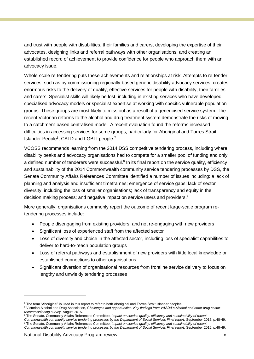and trust with people with disabilities, their families and carers, developing the expertise of their advocates, designing links and referral pathways with other organisations, and creating an established record of achievement to provide confidence for people who approach them with an advocacy issue.

Whole-scale re-tendering puts these achievements and relationships at risk. Attempts to re-tender services, such as by commissioning regionally-based generic disability advocacy services, creates enormous risks to the delivery of quality, effective services for people with disability, their families and carers. Specialist skills will likely be lost, including in existing services who have developed specialised advocacy models or specialist expertise at working with specific vulnerable population groups. These groups are most likely to miss out as a result of a genericised service system. The recent Victorian reforms to the alcohol and drug treatment system demonstrate the risks of moving to a catchment-based centralised model. A recent evaluation found the reforms increased difficulties in accessing services for some groups, particularly for Aboriginal and Torres Strait Islander People<sup>6</sup>, CALD and LGBTI people.<sup>7</sup>

VCOSS recommends learning from the 2014 DSS competitive tendering process, including where disability peaks and advocacy organisations had to compete for a smaller pool of funding and only a defined number of tenderers were successful.<sup>8</sup> In its final report on the service quality, efficiency and sustainability of the 2014 Commonwealth community service tendering processes by DSS, the Senate Community Affairs References Committee identified a number of issues including: a lack of planning and analysis and insufficient timeframes; emergence of service gaps; lack of sector diversity, including the loss of smaller organisations; lack of transparency and equity in the decision making process; and negative impact on service users and providers.<sup>9</sup>

More generally, organisations commonly report the outcome of recent large-scale program retendering processes include:

- People disengaging from existing providers, and not re-engaging with new providers
- Significant loss of experienced staff from the affected sector
- Loss of diversity and choice in the affected sector, including loss of specialist capabilities to deliver to hard-to-reach population groups
- Loss of referral pathways and establishment of new providers with little local knowledge or established connections to other organisations
- Significant diversion of organisational resources from frontline service delivery to focus on lengthy and unwieldy tendering processes

<sup>&</sup>lt;sup>6</sup> The term "Aboriginal" is used in this report to refer to both Aboriginal and Torres Strait Islander peoples.

<sup>7</sup> Victorian Alcohol and Drug Association, *Challenges and opportunities: Key findings from VAADA's Alcohol and other drug sector recommissioning survey,* August 2015.

<sup>8</sup> The Senate, Community Affairs References Committee, *Impact on service quality, efficiency and sustainability of recent* 

*Commonwealth community service tendering processes by the Department of Social Services Final report,* September 2015, p.48-49. <sup>9</sup> The Senate, Community Affairs References Committee, *Impact on service quality, efficiency and sustainability of recent* 

*Commonwealth community service tendering processes by the Department of Social Services Final report,* September 2015, p.48-49.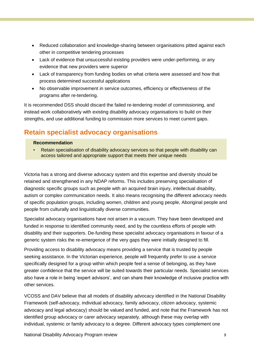- Reduced collaboration and knowledge-sharing between organisations pitted against each other in competitive tendering processes
- Lack of evidence that unsuccessful existing providers were under-performing, or any evidence that new providers were superior
- Lack of transparency from funding bodies on what criteria were assessed and how that process determined successful applications
- No observable improvement in service outcomes, efficiency or effectiveness of the programs after re-tendering.

It is recommended DSS should discard the failed re-tendering model of commissioning, and instead work collaboratively with existing disability advocacy organisations to build on their strengths, and use additional funding to commission more services to meet current gaps.

## <span id="page-10-0"></span>**Retain specialist advocacy organisations**

### **Recommendation**

• Retain specialisation of disability advocacy services so that people with disability can access tailored and appropriate support that meets their unique needs

Victoria has a strong and diverse advocacy system and this expertise and diversity should be retained and strengthened in any NDAP reforms. This includes preserving specialisation of diagnostic specific groups such as people with an acquired brain injury, intellectual disability, autism or complex communication needs. It also means recognising the different advocacy needs of specific population groups, including women, children and young people, Aboriginal people and people from culturally and linguistically diverse communities.

Specialist advocacy organisations have not arisen in a vacuum. They have been developed and funded in response to identified community need, and by the countless efforts of people with disability and their supporters. De-funding these specialist advocacy organisations in favour of a generic system risks the re-emergence of the very gaps they were initially designed to fill.

Providing access to disability advocacy means providing a service that is trusted by people seeking assistance. In the Victorian experience, people will frequently prefer to use a service specifically designed for a group within which people feel a sense of belonging, as they have greater confidence that the service will be suited towards their particular needs. Specialist services also have a role in being 'expert advisors', and can share their knowledge of inclusive practice with other services.

VCOSS and DAV believe that all models of disability advocacy identified in the National Disability Framework (self-advocacy, individual advocacy, family advocacy, citizen advocacy, systemic advocacy and legal advocacy) should be valued and funded, and note that the Framework has not identified group advocacy or carer advocacy separately, although these may overlap with individual, systemic or family advocacy to a degree. Different advocacy types complement one

National Disability Advocacy Program review 9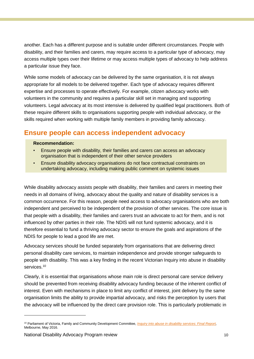another. Each has a different purpose and is suitable under different circumstances. People with disability, and their families and carers, may require access to a particular type of advocacy, may access multiple types over their lifetime or may access multiple types of advocacy to help address a particular issue they face.

While some models of advocacy can be delivered by the same organisation, it is not always appropriate for all models to be delivered together. Each type of advocacy requires different expertise and processes to operate effectively. For example, citizen advocacy works with volunteers in the community and requires a particular skill set in managing and supporting volunteers. Legal advocacy at its most intensive is delivered by qualified legal practitioners. Both of these require different skills to organisations supporting people with individual advocacy, or the skills required when working with multiple family members in providing family advocacy.

## <span id="page-11-0"></span>**Ensure people can access independent advocacy**

### **Recommendation:**

- Ensure people with disability, their families and carers can access an advocacy organisation that is independent of their other service providers
- Ensure disability advocacy organisations do not face contractual constraints on undertaking advocacy, including making public comment on systemic issues

While disability advocacy assists people with disability, their families and carers in meeting their needs in all domains of living, advocacy about the quality and nature of disability services is a common occurrence. For this reason, people need access to advocacy organisations who are both independent and perceived to be independent of the provision of other services. The core issue is that people with a disability, their families and carers trust an advocate to act for them, and is not influenced by other parties in their role. The NDIS will not fund systemic advocacy, and it is therefore essential to fund a thriving advocacy sector to ensure the goals and aspirations of the NDIS for people to lead a good life are met.

Advocacy services should be funded separately from organisations that are delivering direct personal disability care services, to maintain independence and provide stronger safeguards to people with disability. This was a key finding in the recent Victorian Inquiry into abuse in disability services.<sup>10</sup>

Clearly, it is essential that organisations whose main role is direct personal care service delivery should be prevented from receiving disability advocacy funding because of the inherent conflict of interest. Even with mechanisms in place to limit any conflict of interest, joint delivery by the same organisation limits the ability to provide impartial advocacy, and risks the perception by users that the advocacy will be influenced by the direct care provision role. This is particularly problematic in

<sup>10</sup> Parliament of Victoria, Family and Community Development Committee, *[Inquiry into abuse in disability services: Final Report,](http://www.parliament.vic.gov.au/images/stories/committees/fcdc/inquiries/58th/Abuse_in_disability_services/FCDC_58-02_Abuse_in_disability_services_-_Final_report.pdf)*  Melbourne, May 2016.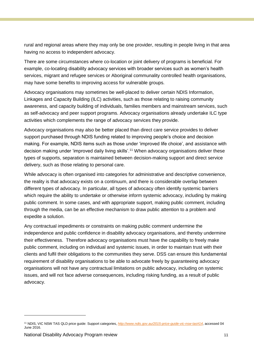rural and regional areas where they may only be one provider, resulting in people living in that area having no access to independent advocacy.

There are some circumstances where co-location or joint delivery of programs is beneficial. For example, co-locating disability advocacy services with broader services such as women's health services, migrant and refugee services or Aboriginal communality controlled health organisations, may have some benefits to improving access for vulnerable groups.

Advocacy organisations may sometimes be well-placed to deliver certain NDIS Information, Linkages and Capacity Building (ILC) activities, such as those relating to raising community awareness, and capacity building of individuals, families members and mainstream services, such as self-advocacy and peer support programs. Advocacy organisations already undertake ILC type activities which complements the range of advocacy services they provide.

Advocacy organisations may also be better placed than direct care service provides to deliver support purchased through NDIS funding related to improving people's choice and decision making. For example, NDIS items such as those under 'improved life choice', and assistance with decision making under 'improved daily living skills'.<sup>11</sup> When advocacy organisations deliver these types of supports, separation is maintained between decision-making support and direct service delivery, such as those relating to personal care.

While advocacy is often organised into categories for administrative and descriptive convenience, the reality is that advocacy exists on a continuum, and there is considerable overlap between different types of advocacy. In particular, all types of advocacy often identify systemic barriers which require the ability to undertake or otherwise inform systemic advocacy, including by making public comment. In some cases, and with appropriate support, making public comment, including through the media, can be an effective mechanism to draw public attention to a problem and expedite a solution.

Any contractual impediments or constraints on making public comment undermine the independence and public confidence in disability advocacy organisations, and thereby undermine their effectiveness. Therefore advocacy organisations must have the capability to freely make public comment, including on individual and systemic issues, in order to maintain trust with their clients and fulfil their obligations to the communities they serve. DSS can ensure this fundamental requirement of disability organisations to be able to advocate freely by guaranteeing advocacy organisations will not have any contractual limitations on public advocacy, including on systemic issues, and will not face adverse consequences, including risking funding, as a result of public advocacy.

<sup>11</sup> NDIS, VIC NSW TAS QLD price guide: Support categories, *<http://www.ndis.gov.au/2015-price-guide-vic-nsw-tas#14>*, accessed 04 June 2016.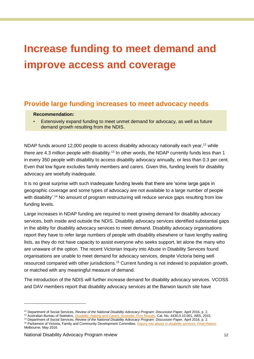# <span id="page-13-0"></span>**Increase funding to meet demand and improve access and coverage**

### <span id="page-13-1"></span>**Provide large funding increases to meet advocacy needs**

### **Recommendation:**

• Extensively expand funding to meet unmet demand for advocacy, as well as future demand growth resulting from the NDIS.

NDAP funds around 12,000 people to access disability advocacy nationally each year,<sup>12</sup> while there are 4.3 million people with disability.<sup>13</sup> In other words, the NDAP currently funds less than 1 in every 350 people with disability to access disability advocacy annually, or less than 0.3 per cent. Even that low figure excludes family members and carers. Given this, funding levels for disability advocacy are woefully inadequate.

It is no great surprise with such inadequate funding levels that there are 'some large gaps in geographic coverage and some types of advocacy are not available to a large number of people with disability'.<sup>14</sup> No amount of program restructuring will reduce service gaps resulting from low funding levels.

Large increases in NDAP funding are required to meet growing demand for disability advocacy services, both inside and outside the NDIS. Disability advocacy services identified substantial gaps in the ability for disability advocacy services to meet demand. Disability advocacy organisations report they have to refer large numbers of people with disability elsewhere or have lengthy waiting lists, as they do not have capacity to assist everyone who seeks support, let alone the many who are unaware of the option. The recent Victorian Inquiry into Abuse in Disability Services found organisations are unable to meet demand for advocacy services, despite Victoria being well resourced compared with other jurisdictions.<sup>15</sup> Current funding is not indexed to population growth, or matched with any meaningful measure of demand.

The introduction of the NDIS will further increase demand for disability advocacy services. VCOSS and DAV members report that disability advocacy services at the Barwon launch site have

<sup>14</sup> Department of Social Services, *Review of the National Disability Advocacy Program: Discussion Paper*, April 2016, p. 2.

<sup>12</sup> Department of Social Services, *Review of the National Disability Advocacy Program: Discussion Paper*, April 2016, p. 2.

<sup>13</sup> Australian Bureau of Statistics, *[Disability, Ageing and Carers, Australia: First Results](http://www.abs.gov.au/AUSSTATS/abs@.nsf/0/56C41FE7A67110C8CA257FA3001D080B?Opendocument)*, Cat. No. 4430.0.10.001, ABS, 2015.

<sup>15</sup> Parliament of Victoria, Family and Community Development Committee, *[Inquiry into abuse in disability services: Final Report,](http://www.parliament.vic.gov.au/images/stories/committees/fcdc/inquiries/58th/Abuse_in_disability_services/FCDC_58-02_Abuse_in_disability_services_-_Final_report.pdf)*  Melbourne, May 2016.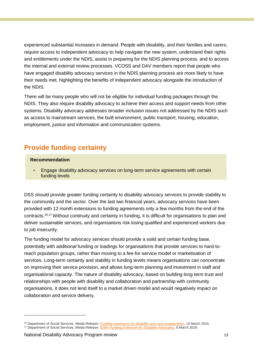experienced substantial increases in demand. People with disability, and their families and carers, require access to independent advocacy to help navigate the new system, understand their rights and entitlements under the NDIS, assist in preparing for the NDIS planning process, and to access the internal and external review processes. VCOSS and DAV members report that people who have engaged disability advocacy services in the NDIS planning process are more likely to have their needs met, highlighting the benefits of independent advocacy alongside the introduction of the NDIS.

There will be many people who will not be eligible for individual funding packages through the NDIS. They also require disability advocacy to achieve their access and support needs from other systems. Disability advocacy addresses broader inclusion issues not addressed by the NDIS such as access to mainstream services, the built environment, public transport, housing, education, employment, justice and information and communication systems.

## <span id="page-14-0"></span>**Provide funding certainty**

### **Recommendation**

• Engage disability advocacy services on long-term service agreements with certain funding levels

DSS should provide greater funding certainty to disability advocacy services to provide stability to the community and the sector. Over the last two financial years, advocacy services have been provided with 12 month extensions to funding agreements only a few months from the end of the contracts.16,17Without continuity and certainty in funding, it is difficult for organisations to plan and deliver sustainable services, and organisations risk losing qualified and experienced workers due to job insecurity.

The funding model for advocacy services should provide a solid and certain funding base, potentially with additional funding or loadings for organisations that provide services to hard-toreach population groups, rather than moving to a fee-for-service model or marketisation of services. Long-term certainty and stability in funding levels means organisations can concentrate on improving their service provision, and allows long-term planning and investment in staff and organisational capacity. The nature of disability advocacy, based on building long term trust and relationships with people with disability and collaboration and partnership with community organisations, it does not lend itself to a market driven model and would negatively impact on collaboration and service delivery.

<sup>16</sup> Department of Social Services, *Media Release: [Funding extensions for disability and carer programmes](http://www.formerministers.dss.gov.au/15523/funding-extensions-for-disability-and-carer-programmes/)*, 13 March 2015. <sup>17</sup> Department of Social Services, *Media Release: [\\$16m Funding Extension for Disability Advocates,](http://janeprentice.dss.gov.au/media-releases/16m-disability-funding-extension) 6 March 2016.*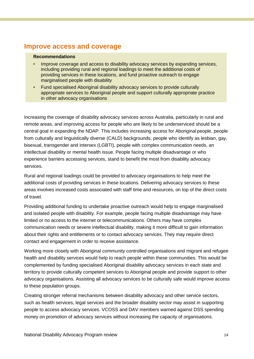### <span id="page-15-0"></span>**Improve access and coverage**

### **Recommendations**

- Improve coverage and access to disability advocacy services by expanding services, including providing rural and regional loadings to meet the additional costs of providing services in these locations, and fund proactive outreach to engage marginalised people with disability
- Fund specialised Aboriginal disability advocacy services to provide culturally appropriate services to Aboriginal people and support culturally appropriate practice in other advocacy organisations

Increasing the coverage of disability advocacy services across Australia, particularly in rural and remote areas, and improving access for people who are likely to be underserviced should be a central goal in expanding the NDAP. This includes increasing access for Aboriginal people, people from culturally and linguistically diverse (CALD) backgrounds, people who identify as lesbian, gay, bisexual, transgender and intersex (LGBTI), people with complex communication needs, an intellectual disability or mental health issue. People facing multiple disadvantage or who experience barriers accessing services, stand to benefit the most from disability advocacy services.

Rural and regional loadings could be provided to advocacy organisations to help meet the additional costs of providing services in these locations. Delivering advocacy services to these areas involves increased costs associated with staff time and resources, on top of the direct costs of travel.

Providing additional funding to undertake proactive outreach would help to engage marginalised and isolated people with disability. For example, people facing multiple disadvantage may have limited or no access to the internet or telecommunications. Others may have complex communication needs or severe intellectual disability, making it more difficult to gain information about their rights and entitlements or to contact advocacy services. They may require direct contact and engagement in order to receive assistance.

Working more closely with Aboriginal community controlled organisations and migrant and refugee health and disability services would help to reach people within these communities. This would be complemented by funding specialised Aboriginal disability advocacy services in each state and territory to provide culturally competent services to Aboriginal people and provide support to other advocacy organisations. Assisting all advocacy services to be culturally safe would improve access to these population groups.

Creating stronger referral mechanisms between disability advocacy and other service sectors, such as health services, legal services and the broader disability sector may assist in supporting people to access advocacy services. VCOSS and DAV members warned against DSS spending money on promotion of advocacy services without increasing the capacity of organisations.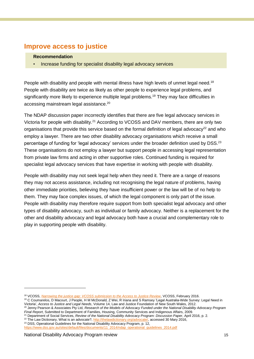### <span id="page-16-0"></span>**Improve access to justice**

### **Recommendation**

• Increase funding for specialist disability legal advocacy services

People with disability and people with mental illness have high levels of unmet legal need.<sup>18</sup> People with disability are twice as likely as other people to experience legal problems, and significantly more likely to experience multiple legal problems.<sup>19</sup> They may face difficulties in accessing mainstream legal assistance. 20

The NDAP discussion paper incorrectly identifies that there are five legal advocacy services in Victoria for people with disability.<sup>21</sup> According to VCOSS and DAV members, there are only two organisations that provide this service based on the formal definition of legal advocacy<sup>22</sup> and who employ a lawyer. There are two other disability advocacy organisations which receive a small percentage of funding for 'legal advocacy' services under the broader definition used by DSS.<sup>23</sup> These organisations do not employ a lawyer but support people in accessing legal representation from private law firms and acting in other supportive roles. Continued funding is required for specialist legal advocacy services that have expertise in working with people with disability.

People with disability may not seek legal help when they need it. There are a range of reasons they may not access assistance, including not recognising the legal nature of problems, having other immediate priorities, believing they have insufficient power or the law will be of no help to them. They may face complex issues, of which the legal component is only part of the issue. People with disability may therefore require support from both specialist legal advocacy and other types of disability advocacy, such as individual or family advocacy. Neither is a replacement for the other and disability advocacy and legal advocacy both have a crucial and complementary role to play in supporting people with disability.

National Disability Advocacy Program review 15

<sup>18</sup> VCOSS, *[Narrowing the justice gap: VCOSS submission to the Access to Justice Review](http://vcoss.org.au/documents/2016/03/SUB_160226_Access-to-Justice-Review_FINAL.pdf)*, VCOSS, February 2016.

<sup>&</sup>lt;sup>19</sup> C Coumarelos, D Macourt, J People, H M McDonald, Z Wei, R Iriana and S Ramsey 'Legal Australia-Wide Survey: Legal Need in Victoria', *Access to Justice and Legal Needs*, Volume 14, Law and Justice Foundation of New South Wales, 2012.

<sup>20</sup> Jenny Pearson & Associates Pty Ltd, *Research of the Models of Advocacy Funded under the National Disability Advocacy Program Final Report*, Submitted to Department of Families, Housing, Community Services and Indigenous Affairs, 2009.

<sup>21</sup> Department of Social Services, *Review of the National Disability Advocacy Program: Discussion Paper*, April 2016, p. 2.

<sup>&</sup>lt;sup>22</sup> The Law Dictionary, What is an advocate?, [http://thelawdictionary.org/advocate/,](http://thelawdictionary.org/advocate/) accessed 30 Mary 2016, <sup>23</sup> DSS, Operational Guidelines for the National Disability Advocacy Program, p. 12, [https://www.dss.gov.au/sites/default/files/documents/11\\_2014/ndap\\_operational\\_guidelines\\_2014.pdf](https://www.dss.gov.au/sites/default/files/documents/11_2014/ndap_operational_guidelines_2014.pdf)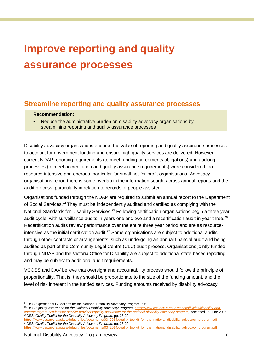# <span id="page-17-0"></span>**Improve reporting and quality assurance processes**

## <span id="page-17-1"></span>**Streamline reporting and quality assurance processes**

### **Recommendation:**

• Reduce the administrative burden on disability advocacy organisations by streamlining reporting and quality assurance processes

Disability advocacy organisations endorse the value of reporting and quality assurance processes to account for government funding and ensure high quality services are delivered. However, current NDAP reporting requirements (to meet funding agreements obligations) and auditing processes (to meet accreditation and quality assurance requirements) were considered too resource-intensive and onerous, particular for small not-for-profit organisations. Advocacy organisations report there is some overlap in the information sought across annual reports and the audit process, particularly in relation to records of people assisted.

Organisations funded through the NDAP are required to submit an annual report to the Department of Social Services.<sup>24</sup> They must be independently audited and certified as complying with the National Standards for Disability Services.<sup>25</sup> Following certification organisations begin a three year audit cycle, with surveillance audits in years one and two and a recertification audit in year three.<sup>26</sup> Recertification audits review performance over the entire three year period and are as resourceintensive as the initial certification audit.<sup>27</sup> Some organisations are subject to additional audits through other contracts or arrangements, such as undergoing an annual financial audit and being audited as part of the Community Legal Centre (CLC) audit process. Organisations jointly funded through NDAP and the Victoria Office for Disability are subject to additional state-based reporting and may be subject to additional audit requirements.

VCOSS and DAV believe that oversight and accountability process should follow the principle of proportionality. That is, they should be proportionate to the size of the funding amount, and the level of risk inherent in the funded services. Funding amounts received by disability advocacy

<sup>&</sup>lt;sup>24</sup> DSS, Operational Guidelines for the National Disability Advocacy Program, p.6

<sup>25</sup> DSS, Quality *Assurance for the National Disability Advocacy Program, [https://www.dss.gov.au/our-responsibilities/disability-and](https://www.dss.gov.au/our-responsibilities/disability-and-carers/program-services/for-service-providers/quality-assurance-for-the-national-disability-advocacy-program)[carers/program-services/for-service-providers/quality-assurance-for-the-national-disability-advocacy-program,](https://www.dss.gov.au/our-responsibilities/disability-and-carers/program-services/for-service-providers/quality-assurance-for-the-national-disability-advocacy-program)* accessed 15 June 2016. <sup>26</sup>DSS, *Quality Toolkit for the Disability Advocacy Program*, pp. 28-29,

[https://www.dss.gov.au/sites/default/files/documents/03\\_2014/quality\\_toolkit\\_for\\_the\\_national\\_disability\\_advocacy\\_program.pdf](https://www.dss.gov.au/sites/default/files/documents/03_2014/quality_toolkit_for_the_national_disability_advocacy_program.pdf) <sup>27</sup>DSS, *Quality Toolkit for the Disability Advocacy Program*, pp. 28-29,

[https://www.dss.gov.au/sites/default/files/documents/03\\_2014/quality\\_toolkit\\_for\\_the\\_national\\_disability\\_advocacy\\_program.pdf](https://www.dss.gov.au/sites/default/files/documents/03_2014/quality_toolkit_for_the_national_disability_advocacy_program.pdf)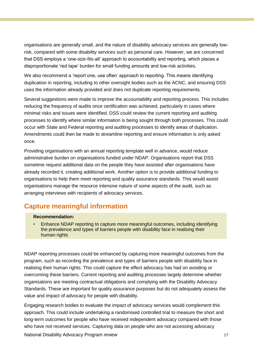organisations are generally small, and the nature of disability advocacy services are generally lowrisk, compared with some disability services such as personal care. However, we are concerned that DSS employs a 'one-size-fits-all' approach to accountability and reporting, which places a disproportionate 'red tape' burden for small funding amounts and low-risk activities.

We also recommend a 'report one, use often' approach to reporting. This means identifying duplication in reporting, including to other oversight bodies such as the ACNC, and ensuring DSS uses the information already provided and does not duplicate reporting requirements.

Several suggestions were made to improve the accountability and reporting process. This includes reducing the frequency of audits once certification was achieved, particularly in cases where minimal risks and issues were identified. DSS could review the current reporting and auditing processes to identify where similar information is being sought through both processes. This could occur with State and Federal reporting and auditing processes to identify areas of duplication. Amendments could then be made to streamline reporting and ensure information is only asked once.

Providing organisations with an annual reporting template well in advance, would reduce administrative burden on organisations funded under NDAP. Organisations report that DSS sometime request additional data on the people they have assisted after organisations have already recorded it, creating additional work. Another option is to provide additional funding to organisations to help them meet reporting and quality assurance standards. This would assist organisations manage the resource intensive nature of some aspects of the audit, such as arranging interviews with recipients of advocacy services.

## <span id="page-18-0"></span>**Capture meaningful information**

### **Recommendation:**

• Enhance NDAP reporting to capture more meaningful outcomes, including identifying the prevalence and types of barriers people with disability face in realising their human rights

NDAP reporting processes could be enhanced by capturing more meaningful outcomes from the program, such as recording the prevalence and types of barriers people with disability face in realising their human rights. This could capture the effect advocacy has had on avoiding or overcoming these barriers. Current reporting and auditing processes largely determine whether organisations are meeting contractual obligations and complying with the Disability Advocacy Standards. These are important for quality assurance purposes but do not adequately assess the value and impact of advocacy for people with disability.

Engaging research bodies to evaluate the impact of advocacy services would complement this approach. This could include undertaking a randomised controlled trial to measure the short and long-term outcomes for people who have received independent advocacy compared with those who have not received services. Capturing data on people who are not accessing advocacy

National Disability Advocacy Program review 17 17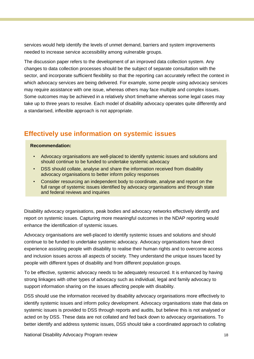services would help identify the levels of unmet demand, barriers and system improvements needed to increase service accessibility among vulnerable groups.

The discussion paper refers to the development of an improved data collection system. Any changes to data collection processes should be the subject of separate consultation with the sector, and incorporate sufficient flexibility so that the reporting can accurately reflect the context in which advocacy services are being delivered. For example, some people using advocacy services may require assistance with one issue, whereas others may face multiple and complex issues. Some outcomes may be achieved in a relatively short timeframe whereas some legal cases may take up to three years to resolve. Each model of disability advocacy operates quite differently and a standarised, inflexible approach is not appropriate.

## <span id="page-19-0"></span>**Effectively use information on systemic issues**

### **Recommendation:**

- Advocacy organisations are well-placed to identify systemic issues and solutions and should continue to be funded to undertake systemic advocacy
- DSS should collate, analyse and share the information received from disability advocacy organisations to better inform policy responses
- Consider resourcing an independent body to coordinate, analyse and report on the full range of systemic issues identified by advocacy organisations and through state and federal reviews and inquiries

Disability advocacy organisations, peak bodies and advocacy networks effectively identify and report on systemic issues. Capturing more meaningful outcomes in the NDAP reporting would enhance the identification of systemic issues.

Advocacy organisations are well-placed to identify systemic issues and solutions and should continue to be funded to undertake systemic advocacy. Advocacy organisations have direct experience assisting people with disability to realise their human rights and to overcome access and inclusion issues across all aspects of society. They understand the unique issues faced by people with different types of disability and from different population groups.

To be effective, systemic advocacy needs to be adequately resourced. It is enhanced by having strong linkages with other types of advocacy such as individual, legal and family advocacy to support information sharing on the issues affecting people with disability.

DSS should use the information received by disability advocacy organisations more effectively to identify systemic issues and inform policy development. Advocacy organisations state that data on systemic issues is provided to DSS through reports and audits, but believe this is not analysed or acted on by DSS. These data are not collated and fed back down to advocacy organisations. To better identify and address systemic issues, DSS should take a coordinated approach to collating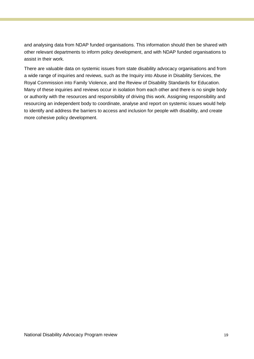and analysing data from NDAP funded organisations. This information should then be shared with other relevant departments to inform policy development, and with NDAP funded organisations to assist in their work.

There are valuable data on systemic issues from state disability advocacy organisations and from a wide range of inquiries and reviews, such as the Inquiry into Abuse in Disability Services, the Royal Commission into Family Violence, and the Review of Disability Standards for Education. Many of these inquiries and reviews occur in isolation from each other and there is no single body or authority with the resources and responsibility of driving this work. Assigning responsibility and resourcing an independent body to coordinate, analyse and report on systemic issues would help to identify and address the barriers to access and inclusion for people with disability, and create more cohesive policy development.